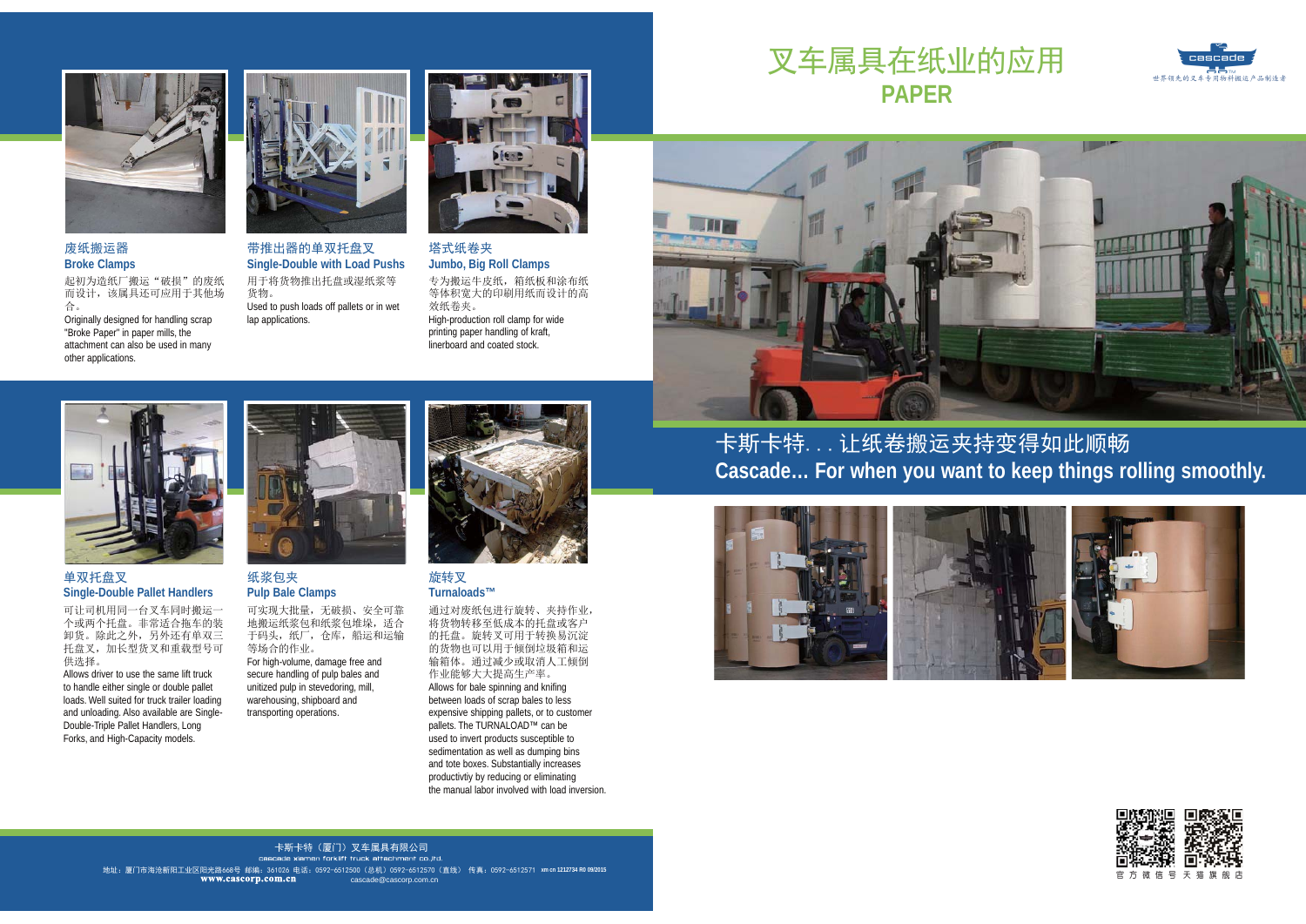

### 废纸搬运器 **Broke Clamps**

起初为造纸厂搬运"破损"的废纸 而设计, 该属具还可应用于其他场 合。

Originally designed for handling scrap "Broke Paper" in paper mills, the attachment can also be used in many other applications.



带推出器的单双托盘叉 Single-Double with Load Pushs 用于将货物推出托盘或湿纸浆等 货物。 Used to push loads off pallets or in wet lap applications.



#### 塔式纸卷夹 Jumbo, Big Roll Clamps

专为搬运牛皮纸, 箱纸板和涂布纸 等体积宽大的印刷用纸而设计的高 效纸卷夹。 High-production roll clamp for wide printing paper handling of kraft, linerboard and coated stock.

# 叉车属具在纸业的应用 **PAPER**



# m.

## 单双托盘叉 **Single-Double Pallet Handlers**

可让司机用同一台叉车同时搬运一 个或两个托盘。非常适合拖车的装 卸货。除此之外,另外还有单双三 托盘叉,加长型货叉和重载型号可 供洗择。

Allows driver to use the same lift truck to handle either single or double pallet loads. Well suited for truck trailer loading and unloading. Also available are Single-Double-Triple Pallet Handlers, Long Forks, and High-Capacity models.



# 纸浆包夹 **Pulp Bale Clamps**

可实现大批量,无破损、安全可靠 地搬运纸浆包和纸浆包堆垛, 话合 干码头, 纸厂, 仓库, 船运和运输 等场合的作业。 For high-volume, damage free and secure handling of pulp bales and unitized pulp in stevedoring, mill, warehousing, shipboard and transporting operations.



旋转叉 Turnaloads™

通过对废纸包进行旋转、夹持作业, 将货物转移至低成本的托盘或客户 的托盘。旋转叉可用于转换易沉淀 的货物也可以用于倾倒垃圾箱和运 输箱体。通过减少或取消人工倾倒 作业能够大大提高生产率。 Allows for bale spinning and knifing between loads of scrap bales to less expensive shipping pallets, or to customer pallets. The TURNAL OAD™ can be used to invert products susceptible to sedimentation as well as dumping bins and tote boxes. Substantially increases productivity by reducing or eliminating the manual labor involved with load inversion 卡斯卡特... 让纸卷搬运夹持变得如此顺畅 Cascade... For when you want to keep things rolling smoothly.





# 卡斯卡特(厦门)叉车属具有限公司

cascade xiamen forklift truck attachment co..ltd. cascade@cascorp.com.cr